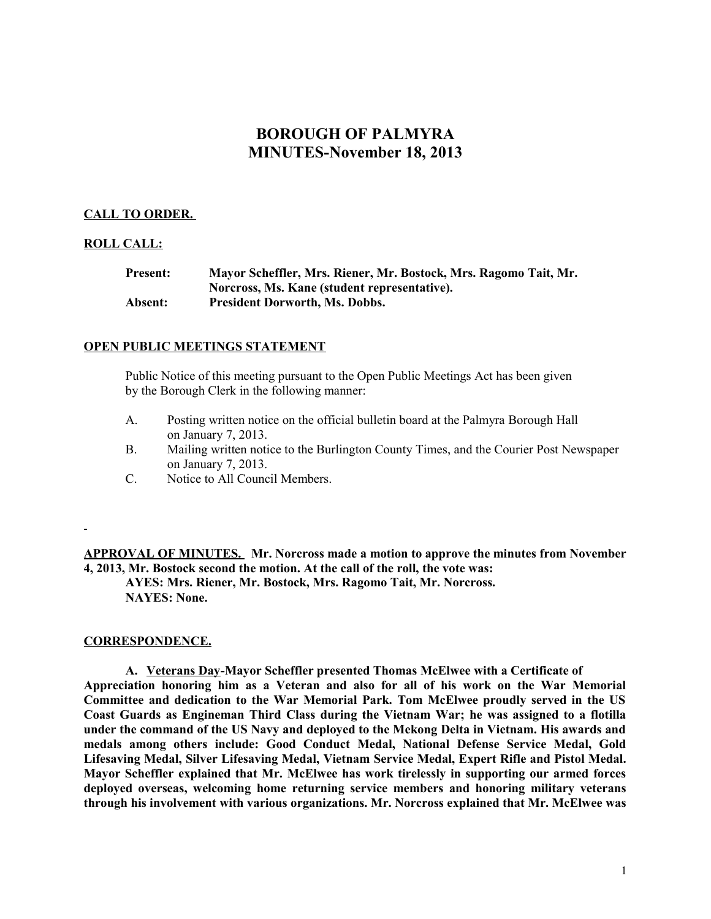# **BOROUGH OF PALMYRA MINUTES-November 18, 2013**

# **CALL TO ORDER.**

# **ROLL CALL:**

| <b>Present:</b> | Mayor Scheffler, Mrs. Riener, Mr. Bostock, Mrs. Ragomo Tait, Mr. |
|-----------------|------------------------------------------------------------------|
|                 | Norcross, Ms. Kane (student representative).                     |
| Absent:         | <b>President Dorworth, Ms. Dobbs.</b>                            |

#### **OPEN PUBLIC MEETINGS STATEMENT**

Public Notice of this meeting pursuant to the Open Public Meetings Act has been given by the Borough Clerk in the following manner:

- A. Posting written notice on the official bulletin board at the Palmyra Borough Hall on January 7, 2013.
- B. Mailing written notice to the Burlington County Times, and the Courier Post Newspaper on January 7, 2013.
- C. Notice to All Council Members.

**APPROVAL OF MINUTES. Mr. Norcross made a motion to approve the minutes from November 4, 2013, Mr. Bostock second the motion. At the call of the roll, the vote was: AYES: Mrs. Riener, Mr. Bostock, Mrs. Ragomo Tait, Mr. Norcross. NAYES: None.**

#### **CORRESPONDENCE.**

**A. Veterans Day-Mayor Scheffler presented Thomas McElwee with a Certificate of Appreciation honoring him as a Veteran and also for all of his work on the War Memorial Committee and dedication to the War Memorial Park. Tom McElwee proudly served in the US Coast Guards as Engineman Third Class during the Vietnam War; he was assigned to a flotilla under the command of the US Navy and deployed to the Mekong Delta in Vietnam. His awards and medals among others include: Good Conduct Medal, National Defense Service Medal, Gold Lifesaving Medal, Silver Lifesaving Medal, Vietnam Service Medal, Expert Rifle and Pistol Medal. Mayor Scheffler explained that Mr. McElwee has work tirelessly in supporting our armed forces deployed overseas, welcoming home returning service members and honoring military veterans through his involvement with various organizations. Mr. Norcross explained that Mr. McElwee was**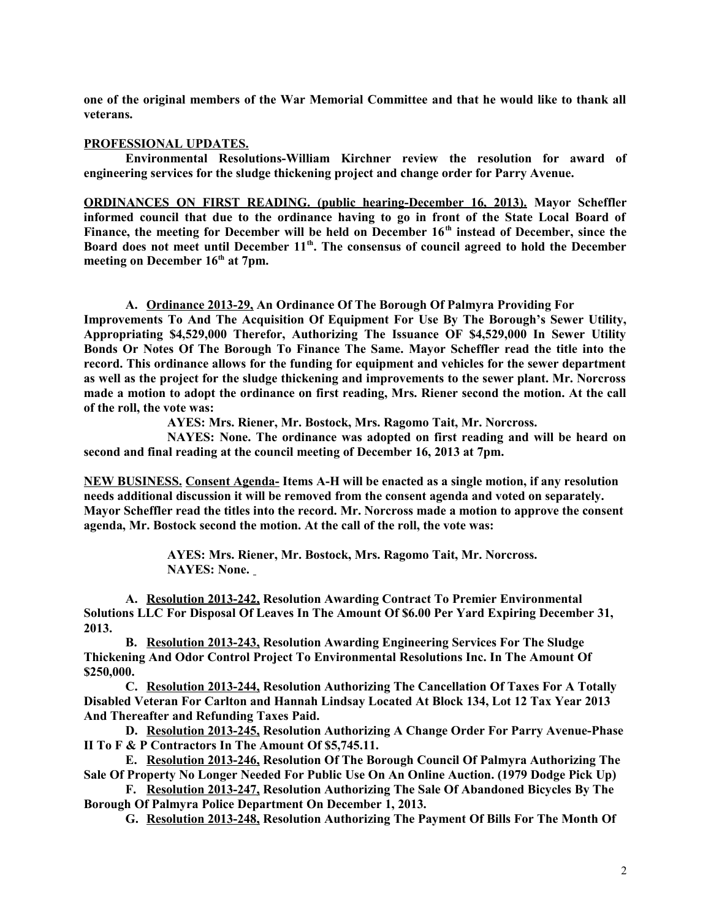**one of the original members of the War Memorial Committee and that he would like to thank all veterans.**

# **PROFESSIONAL UPDATES.**

**Environmental Resolutions-William Kirchner review the resolution for award of engineering services for the sludge thickening project and change order for Parry Avenue.** 

**ORDINANCES ON FIRST READING. (public hearing-December 16, 2013). Mayor Scheffler informed council that due to the ordinance having to go in front of the State Local Board of Finance, the meeting for December will be held on December 16th instead of December, since the Board does not meet until December 11th. The consensus of council agreed to hold the December meeting on December 16th at 7pm.** 

**A. Ordinance 2013-29, An Ordinance Of The Borough Of Palmyra Providing For**

**Improvements To And The Acquisition Of Equipment For Use By The Borough's Sewer Utility, Appropriating \$4,529,000 Therefor, Authorizing The Issuance OF \$4,529,000 In Sewer Utility Bonds Or Notes Of The Borough To Finance The Same. Mayor Scheffler read the title into the record. This ordinance allows for the funding for equipment and vehicles for the sewer department as well as the project for the sludge thickening and improvements to the sewer plant. Mr. Norcross made a motion to adopt the ordinance on first reading, Mrs. Riener second the motion. At the call of the roll, the vote was:**

**AYES: Mrs. Riener, Mr. Bostock, Mrs. Ragomo Tait, Mr. Norcross.**

**NAYES: None. The ordinance was adopted on first reading and will be heard on second and final reading at the council meeting of December 16, 2013 at 7pm.** 

**NEW BUSINESS. Consent Agenda- Items A-H will be enacted as a single motion, if any resolution needs additional discussion it will be removed from the consent agenda and voted on separately. Mayor Scheffler read the titles into the record. Mr. Norcross made a motion to approve the consent agenda, Mr. Bostock second the motion. At the call of the roll, the vote was:**

> **AYES: Mrs. Riener, Mr. Bostock, Mrs. Ragomo Tait, Mr. Norcross. NAYES: None.**

**A. Resolution 2013-242, Resolution Awarding Contract To Premier Environmental Solutions LLC For Disposal Of Leaves In The Amount Of \$6.00 Per Yard Expiring December 31, 2013.** 

**B. Resolution 2013-243, Resolution Awarding Engineering Services For The Sludge Thickening And Odor Control Project To Environmental Resolutions Inc. In The Amount Of \$250,000.**

**C. Resolution 2013-244, Resolution Authorizing The Cancellation Of Taxes For A Totally Disabled Veteran For Carlton and Hannah Lindsay Located At Block 134, Lot 12 Tax Year 2013 And Thereafter and Refunding Taxes Paid.**

**D. Resolution 2013-245, Resolution Authorizing A Change Order For Parry Avenue-Phase II To F & P Contractors In The Amount Of \$5,745.11.**

**E. Resolution 2013-246, Resolution Of The Borough Council Of Palmyra Authorizing The Sale Of Property No Longer Needed For Public Use On An Online Auction. (1979 Dodge Pick Up)**

**F. Resolution 2013-247, Resolution Authorizing The Sale Of Abandoned Bicycles By The Borough Of Palmyra Police Department On December 1, 2013.**

**G. Resolution 2013-248, Resolution Authorizing The Payment Of Bills For The Month Of**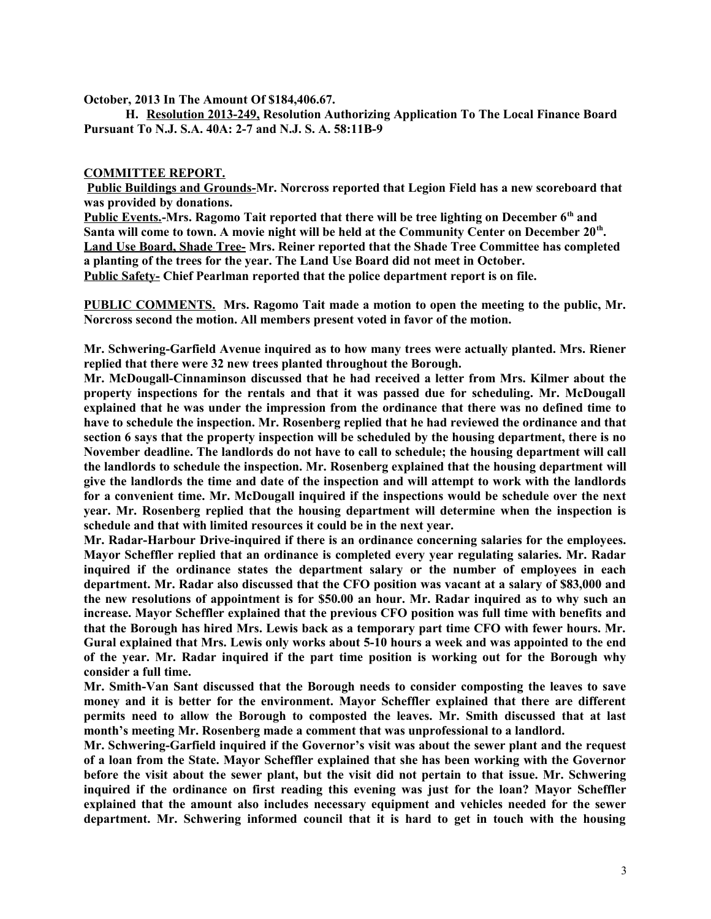**October, 2013 In The Amount Of \$184,406.67.**

**H. Resolution 2013-249, Resolution Authorizing Application To The Local Finance Board Pursuant To N.J. S.A. 40A: 2-7 and N.J. S. A. 58:11B-9**

# **COMMITTEE REPORT.**

**Public Buildings and Grounds-Mr. Norcross reported that Legion Field has a new scoreboard that was provided by donations.**

**Public Events.-Mrs. Ragomo Tait reported that there will be tree lighting on December 6th and Santa will come to town. A movie night will be held at the Community Center on December 20th . Land Use Board, Shade Tree- Mrs. Reiner reported that the Shade Tree Committee has completed a planting of the trees for the year. The Land Use Board did not meet in October. Public Safety- Chief Pearlman reported that the police department report is on file.**

**PUBLIC COMMENTS. Mrs. Ragomo Tait made a motion to open the meeting to the public, Mr. Norcross second the motion. All members present voted in favor of the motion.**

**Mr. Schwering-Garfield Avenue inquired as to how many trees were actually planted. Mrs. Riener replied that there were 32 new trees planted throughout the Borough.** 

**Mr. McDougall-Cinnaminson discussed that he had received a letter from Mrs. Kilmer about the property inspections for the rentals and that it was passed due for scheduling. Mr. McDougall explained that he was under the impression from the ordinance that there was no defined time to have to schedule the inspection. Mr. Rosenberg replied that he had reviewed the ordinance and that section 6 says that the property inspection will be scheduled by the housing department, there is no November deadline. The landlords do not have to call to schedule; the housing department will call the landlords to schedule the inspection. Mr. Rosenberg explained that the housing department will give the landlords the time and date of the inspection and will attempt to work with the landlords for a convenient time. Mr. McDougall inquired if the inspections would be schedule over the next year. Mr. Rosenberg replied that the housing department will determine when the inspection is schedule and that with limited resources it could be in the next year.** 

**Mr. Radar-Harbour Drive-inquired if there is an ordinance concerning salaries for the employees. Mayor Scheffler replied that an ordinance is completed every year regulating salaries. Mr. Radar inquired if the ordinance states the department salary or the number of employees in each department. Mr. Radar also discussed that the CFO position was vacant at a salary of \$83,000 and the new resolutions of appointment is for \$50.00 an hour. Mr. Radar inquired as to why such an increase. Mayor Scheffler explained that the previous CFO position was full time with benefits and that the Borough has hired Mrs. Lewis back as a temporary part time CFO with fewer hours. Mr. Gural explained that Mrs. Lewis only works about 5-10 hours a week and was appointed to the end of the year. Mr. Radar inquired if the part time position is working out for the Borough why consider a full time.** 

**Mr. Smith-Van Sant discussed that the Borough needs to consider composting the leaves to save money and it is better for the environment. Mayor Scheffler explained that there are different permits need to allow the Borough to composted the leaves. Mr. Smith discussed that at last month's meeting Mr. Rosenberg made a comment that was unprofessional to a landlord.** 

**Mr. Schwering-Garfield inquired if the Governor's visit was about the sewer plant and the request of a loan from the State. Mayor Scheffler explained that she has been working with the Governor before the visit about the sewer plant, but the visit did not pertain to that issue. Mr. Schwering inquired if the ordinance on first reading this evening was just for the loan? Mayor Scheffler explained that the amount also includes necessary equipment and vehicles needed for the sewer department. Mr. Schwering informed council that it is hard to get in touch with the housing**